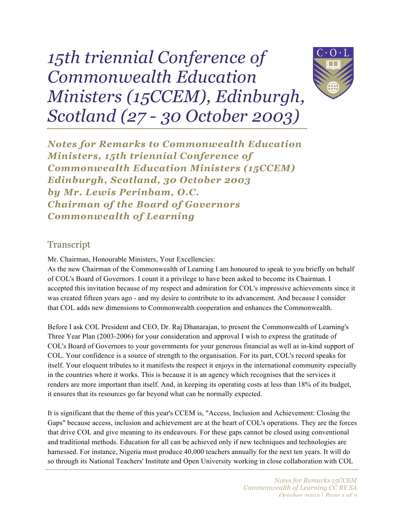## *15th triennial Conference of Commonwealth Education Ministers (15CCEM), Edinburgh, Scotland (27 - 30 October 2003)*



*Notes for Remarks to Commonwealth Education Ministers, 15th triennial Conference of Commonwealth Education Ministers (15CCEM) Edinburgh, Scotland, 30 October 2003 by Mr. Lewis Perinbam, O.C. Chairman of the Board of Governors Commonwealth of Learning*

## **Transcript**

Mr. Chairman, Honourable Ministers, Your Excellencies:

As the new Chairman of the Commonwealth of Learning I am honoured to speak to you briefly on behalf of COL's Board of Governors. I count it a privilege to have been asked to become its Chairman. I accepted this invitation because of my respect and admiration for COL's impressive achievements since it was created fifteen years ago - and my desire to contribute to its advancement. And because I consider that COL adds new dimensions to Commonwealth cooperation and enhances the Commonwealth.

Before I ask COL President and CEO, Dr. Raj Dhanarajan, to present the Commonwealth of Learning's Three Year Plan (2003-2006) for your consideration and approval I wish to express the gratitude of COL's Board of Governors to your governments for your generous financial as well as in-kind support of COL. Your confidence is a source of strength to the organisation. For its part, COL's record speaks for itself. Your eloquent tributes to it manifests the respect it enjoys in the international community especially in the countries where it works. This is because it is an agency which recognises that the services it renders are more important than itself. And, in keeping its operating costs at less than 18% of its budget, it ensures that its resources go far beyond what can be normally expected.

It is significant that the theme of this year's CCEM is, "Access, Inclusion and Achievement: Closing the Gaps" because access, inclusion and achievement are at the heart of COL's operations. They are the forces that drive COL and give meaning to its endeavours. For these gaps cannot be closed using conventional and traditional methods. Education for all can be achieved only if new techniques and technologies are harnessed. For instance, Nigeria must produce 40,000 teachers annually for the next ten years. It will do so through its National Teachers' Institute and Open University working in close collaboration with COL